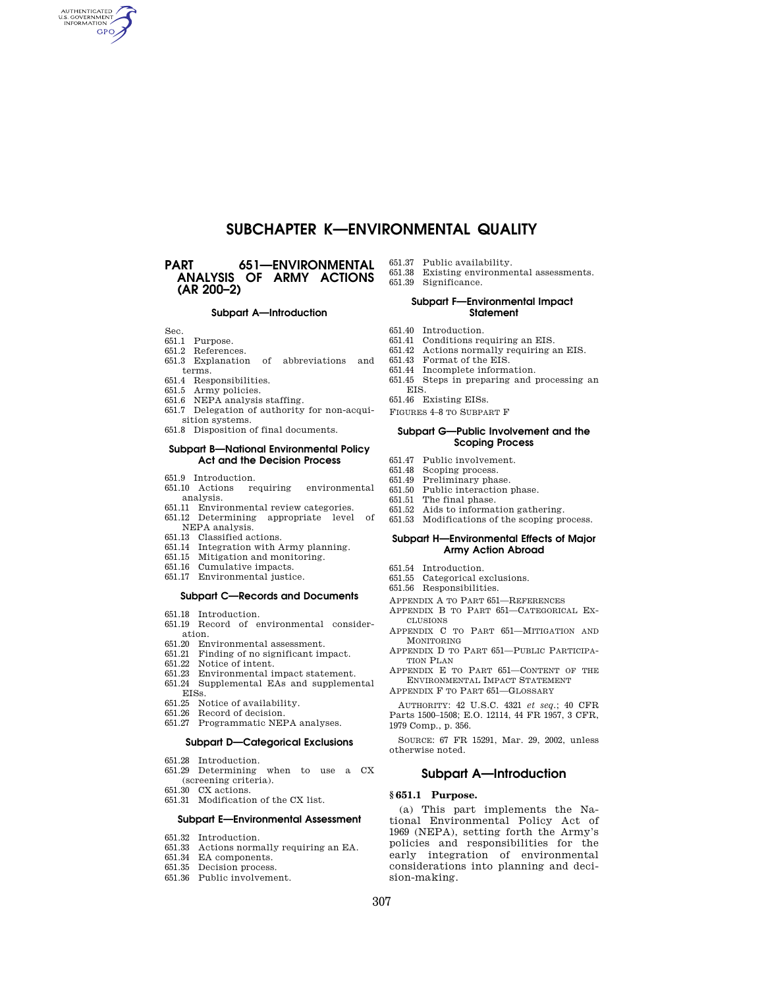# **SUBCHAPTER K—ENVIRONMENTAL QUALITY**

# **PART 651—ENVIRONMENTAL ANALYSIS OF ARMY ACTIONS (AR 200–2)**

#### **Subpart A—Introduction**

Sec.

AUTHENTICATED **GPO** 

- 651.1 Purpose.
- 651.2 References.
- 651.3 Explanation of abbreviations and terms.
- 651.4 Responsibilities.
- 651.5 Army policies.
- 651.6 NEPA analysis staffing.
- 651.7 Delegation of authority for non-acqui-
- sition systems.
- 651.8 Disposition of final documents.

## **Subpart B—National Environmental Policy Act and the Decision Process**

- 651.9 Introduction.
- 651.10 Actions requiring environmental analysis.
- 
- 651.11 Environmental review categories. 651.12 Determining appropriate level of NEPA analysis.
- 651.13 Classified actions.
- 651.14 Integration with Army planning.
- 651.15 Mitigation and monitoring.
- 651.16 Cumulative impacts.
- 651.17 Environmental justice.

#### **Subpart C—Records and Documents**

- 651.18 Introduction.
- 651.19 Record of environmental consideration.
- 651.20 Environmental assessment.
- 651.21 Finding of no significant impact.
- 651.22 Notice of intent.
- 651.23 Environmental impact statement.
- 651.24 Supplemental EAs and supplemental EISs.
- 651.25 Notice of availability.
- 651.26 Record of decision.
- 651.27 Programmatic NEPA analyses.

## **Subpart D—Categorical Exclusions**

- 651.28 Introduction.
- 651.29 Determining when to use a CX (screening criteria).
- 651.30 CX actions.
- 651.31 Modification of the CX list.

# **Subpart E—Environmental Assessment**

- 651.32 Introduction.
- 651.33 Actions normally requiring an EA.
- 651.34 EA components.
- 651.35 Decision process.
- 651.36 Public involvement.
- 651.37 Public availability.
- 651.38 Existing environmental assessments.
- 651.39 Significance.

#### **Subpart F—Environmental Impact Statement**

- 651.40 Introduction.
- 651.41 Conditions requiring an EIS.
- 651.42 Actions normally requiring an EIS. 651.43 Format of the EIS.
- 
- 
- 651.44 Incomplete information. 651.45 Steps in preparing and processing an
- EIS.
- 651.46 Existing EISs.
- FIGURES 4–8 TO SUBPART F

## **Subpart G—Public Involvement and the Scoping Process**

- 651.47 Public involvement.
- 651.48 Scoping process.
- 651.49 Preliminary phase.
- 651.50 Public interaction phase.
- 651.51 The final phase.
- 651.52 Aids to information gathering.
- 651.53 Modifications of the scoping process.

#### **Subpart H—Environmental Effects of Major Army Action Abroad**

- 651.54 Introduction.
- 651.55 Categorical exclusions.
- 651.56 Responsibilities.
- APPENDIX A TO PART 651—REFERENCES APPENDIX B TO PART 651—CATEGORICAL EX-
- CLUSIONS APPENDIX C TO PART 651—MITIGATION AND
- MONITORING APPENDIX D TO PART 651—PUBLIC PARTICIPA-TION PLAN
- APPENDIX E TO PART 651—CONTENT OF THE ENVIRONMENTAL IMPACT STATEMENT
- APPENDIX F TO PART 651—GLOSSARY

AUTHORITY: 42 U.S.C. 4321 *et seq.*; 40 CFR Parts 1500–1508; E.O. 12114, 44 FR 1957, 3 CFR, 1979 Comp., p. 356.

SOURCE: 67 FR 15291, Mar. 29, 2002, unless otherwise noted.

# **Subpart A—Introduction**

## **§ 651.1 Purpose.**

(a) This part implements the National Environmental Policy Act of 1969 (NEPA), setting forth the Army's policies and responsibilities for the early integration of environmental considerations into planning and decision-making.